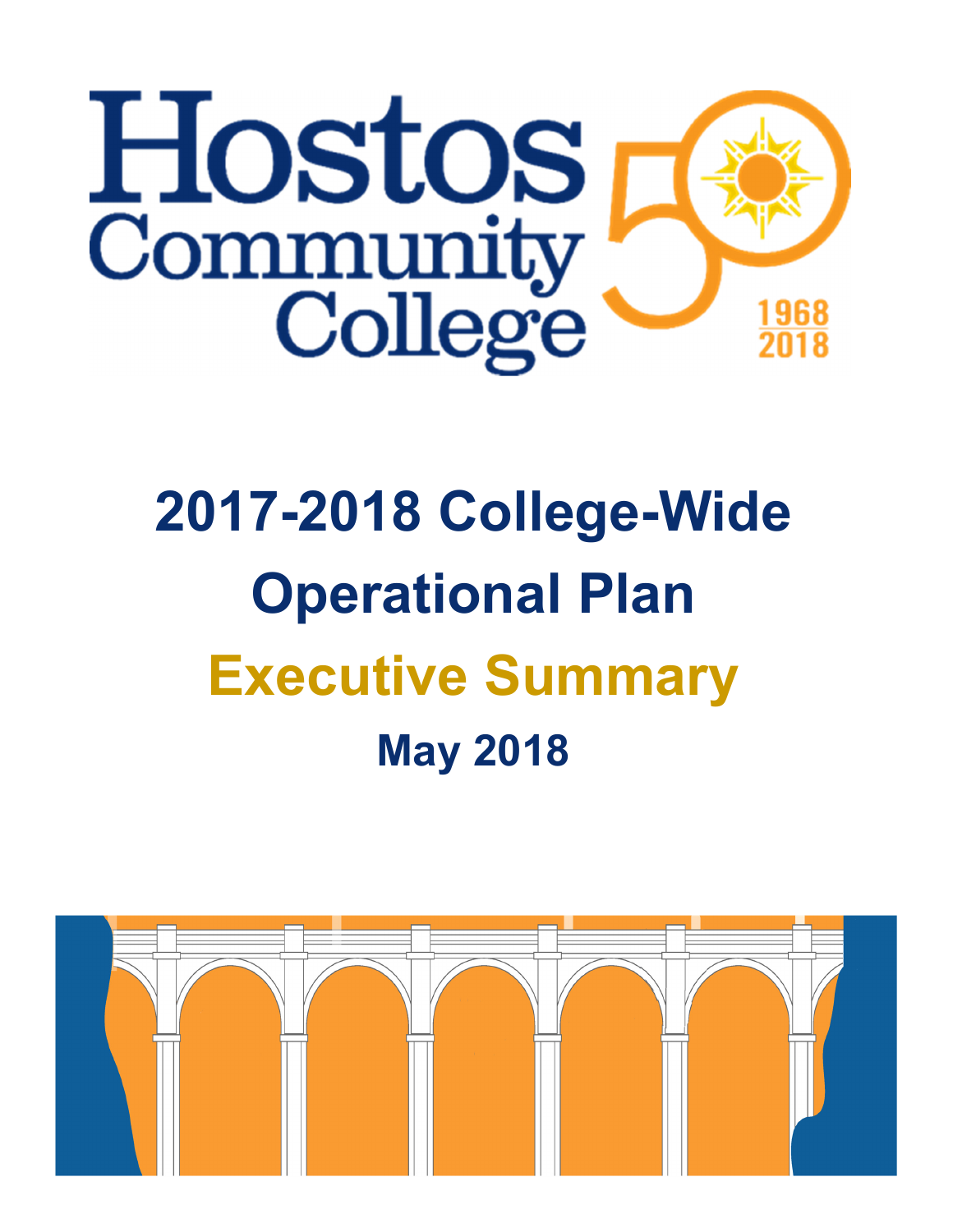

# **2017-2018 College-Wide Operational Plan Executive Summary May 2018**

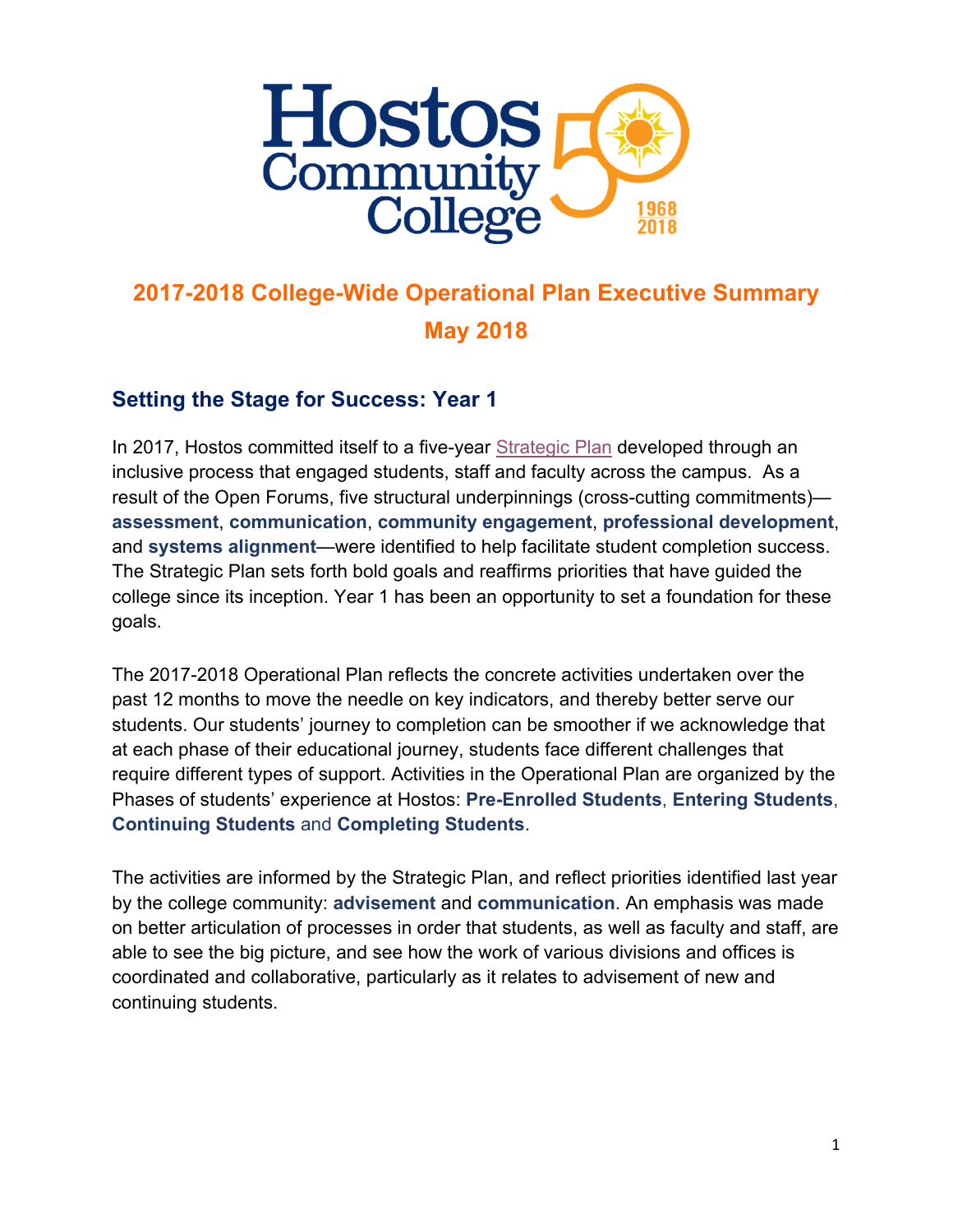

#### **2017-2018 College-Wide Operational Plan Executive Summary May 2018**

#### **Setting the Stage for Success: Year 1**

In 2017, Hostos committed itself to a five-year Strategic Plan developed through an inclusive process that engaged students, staff and faculty across the campus. As a result of the Open Forums, five structural underpinnings (cross-cutting commitments) **assessment**, **communication**, **community engagement**, **professional development**, and **systems alignment**—were identified to help facilitate student completion success. The Strategic Plan sets forth bold goals and reaffirms priorities that have guided the college since its inception. Year 1 has been an opportunity to set a foundation for these goals.

The 2017-2018 Operational Plan reflects the concrete activities undertaken over the past 12 months to move the needle on key indicators, and thereby better serve our students. Our students' journey to completion can be smoother if we acknowledge that at each phase of their educational journey, students face different challenges that require different types of support. Activities in the Operational Plan are organized by the Phases of students' experience at Hostos: **Pre-Enrolled Students**, **Entering Students**, **Continuing Students** and **Completing Students**.

The activities are informed by the Strategic Plan, and reflect priorities identified last year by the college community: **advisement** and **communication**. An emphasis was made on better articulation of processes in order that students, as well as faculty and staff, are able to see the big picture, and see how the work of various divisions and offices is coordinated and collaborative, particularly as it relates to advisement of new and continuing students.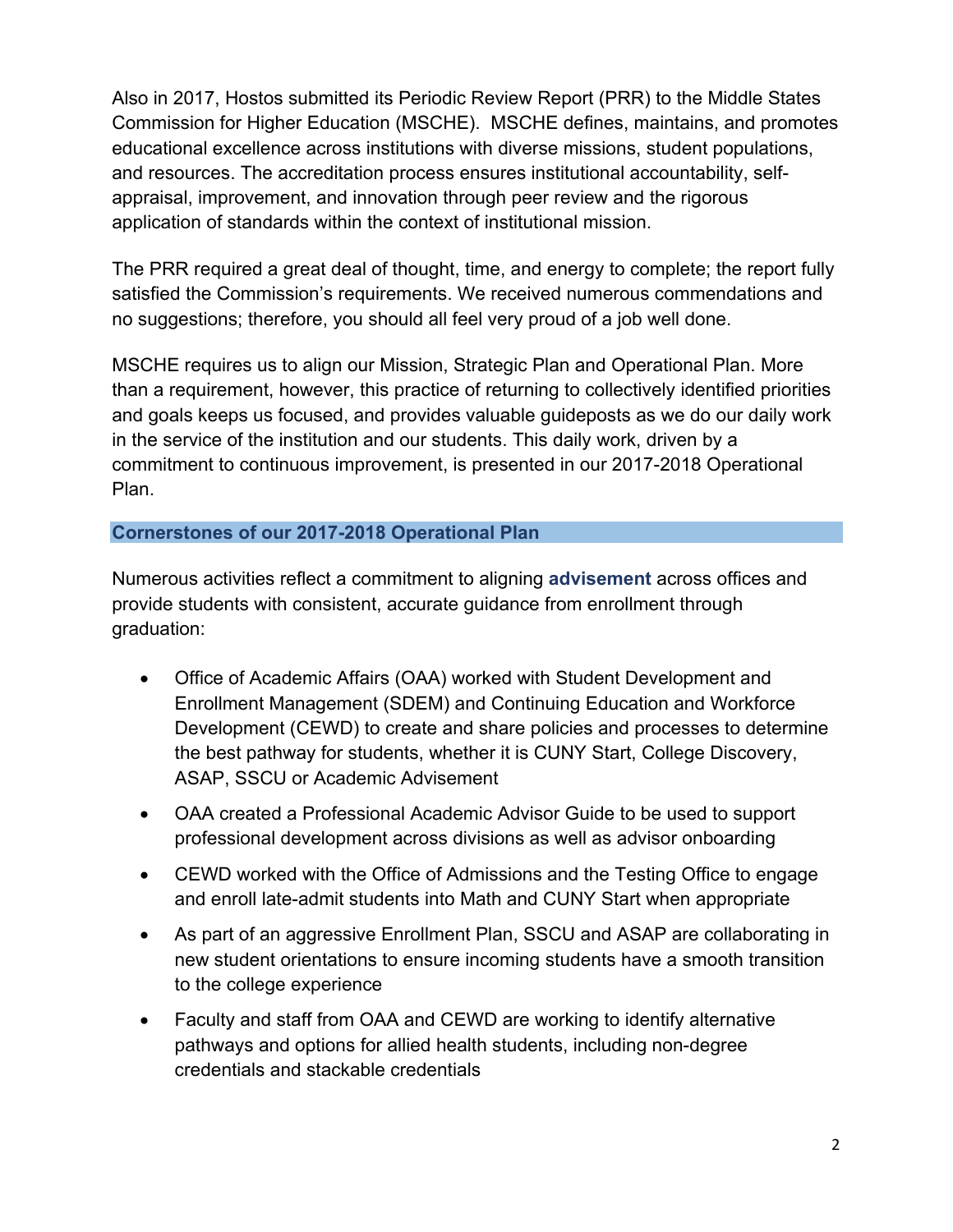Also in 2017, Hostos submitted its Periodic Review Report (PRR) to the Middle States Commission for Higher Education (MSCHE). MSCHE defines, maintains, and promotes educational excellence across institutions with diverse missions, student populations, and resources. The accreditation process ensures institutional accountability, selfappraisal, improvement, and innovation through peer review and the rigorous application of standards within the context of institutional mission.

The PRR required a great deal of thought, time, and energy to complete; the report fully satisfied the Commission's requirements. We received numerous commendations and no suggestions; therefore, you should all feel very proud of a job well done.

MSCHE requires us to align our Mission, Strategic Plan and Operational Plan. More than a requirement, however, this practice of returning to collectively identified priorities and goals keeps us focused, and provides valuable guideposts as we do our daily work in the service of the institution and our students. This daily work, driven by a commitment to continuous improvement, is presented in our 2017-2018 Operational Plan.

#### **Cornerstones of our 2017-2018 Operational Plan**

Numerous activities reflect a commitment to aligning **advisement** across offices and provide students with consistent, accurate guidance from enrollment through graduation:

- Office of Academic Affairs (OAA) worked with Student Development and Enrollment Management (SDEM) and Continuing Education and Workforce Development (CEWD) to create and share policies and processes to determine the best pathway for students, whether it is CUNY Start, College Discovery, ASAP, SSCU or Academic Advisement
- OAA created a Professional Academic Advisor Guide to be used to support professional development across divisions as well as advisor onboarding
- CEWD worked with the Office of Admissions and the Testing Office to engage and enroll late-admit students into Math and CUNY Start when appropriate
- As part of an aggressive Enrollment Plan, SSCU and ASAP are collaborating in new student orientations to ensure incoming students have a smooth transition to the college experience
- Faculty and staff from OAA and CEWD are working to identify alternative pathways and options for allied health students, including non-degree credentials and stackable credentials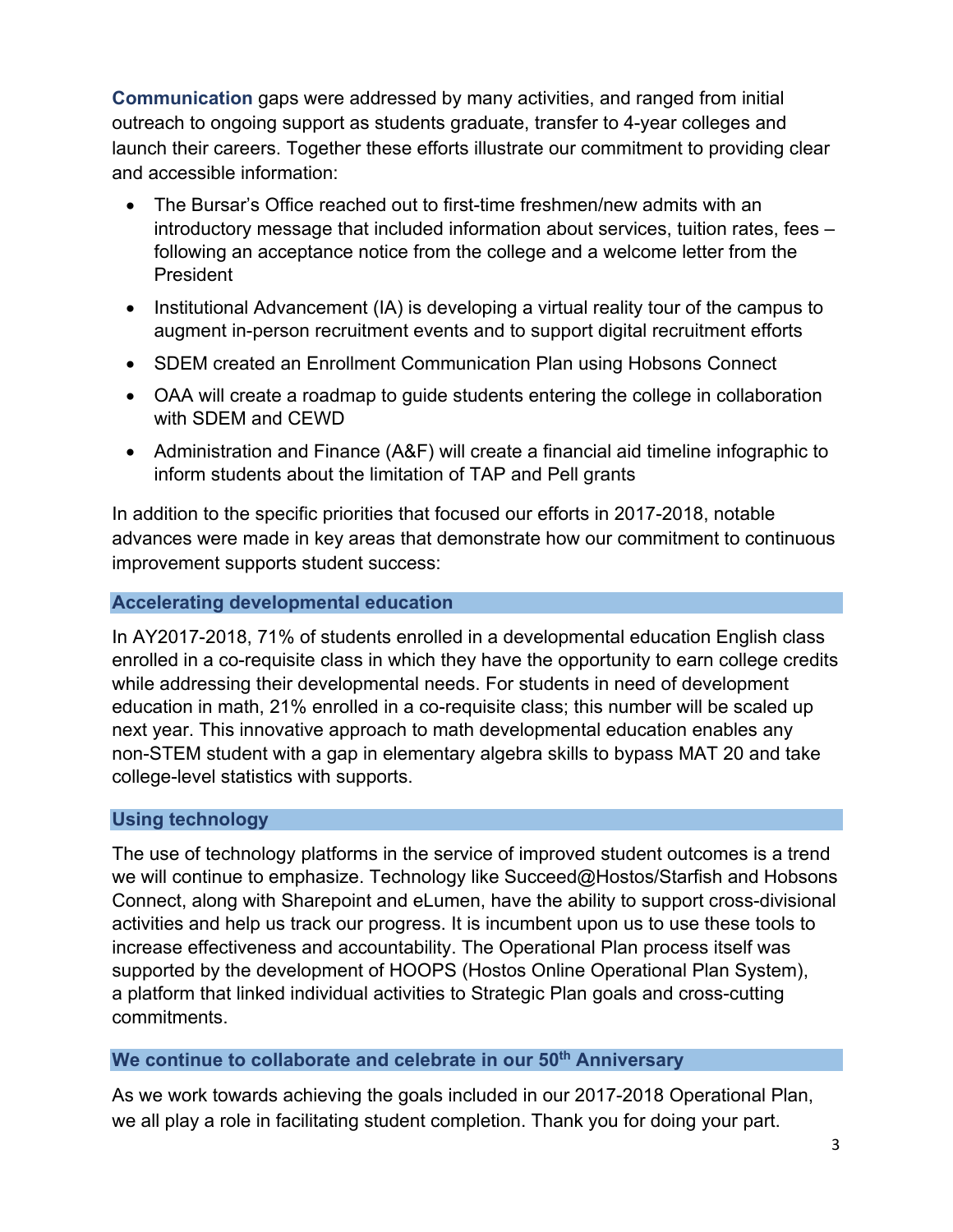**Communication** gaps were addressed by many activities, and ranged from initial outreach to ongoing support as students graduate, transfer to 4-year colleges and launch their careers. Together these efforts illustrate our commitment to providing clear and accessible information:

- The Bursar's Office reached out to first-time freshmen/new admits with an introductory message that included information about services, tuition rates, fees – following an acceptance notice from the college and a welcome letter from the President
- Institutional Advancement (IA) is developing a virtual reality tour of the campus to augment in-person recruitment events and to support digital recruitment efforts
- SDEM created an Enrollment Communication Plan using Hobsons Connect
- OAA will create a roadmap to guide students entering the college in collaboration with SDEM and CEWD
- Administration and Finance (A&F) will create a financial aid timeline infographic to inform students about the limitation of TAP and Pell grants

In addition to the specific priorities that focused our efforts in 2017-2018, notable advances were made in key areas that demonstrate how our commitment to continuous improvement supports student success:

#### **Accelerating developmental education**

In AY2017-2018, 71% of students enrolled in a developmental education English class enrolled in a co-requisite class in which they have the opportunity to earn college credits while addressing their developmental needs. For students in need of development education in math, 21% enrolled in a co-requisite class; this number will be scaled up next year. This innovative approach to math developmental education enables any non-STEM student with a gap in elementary algebra skills to bypass MAT 20 and take college-level statistics with supports.

#### **Using technology**

The use of technology platforms in the service of improved student outcomes is a trend we will continue to emphasize. Technology like Succeed@Hostos/Starfish and Hobsons Connect, along with Sharepoint and eLumen, have the ability to support cross-divisional activities and help us track our progress. It is incumbent upon us to use these tools to increase effectiveness and accountability. The Operational Plan process itself was supported by the development of HOOPS (Hostos Online Operational Plan System), a platform that linked individual activities to Strategic Plan goals and cross-cutting commitments.

#### We continue to collaborate and celebrate in our 50<sup>th</sup> Anniversary

As we work towards achieving the goals included in our 2017-2018 Operational Plan, we all play a role in facilitating student completion. Thank you for doing your part.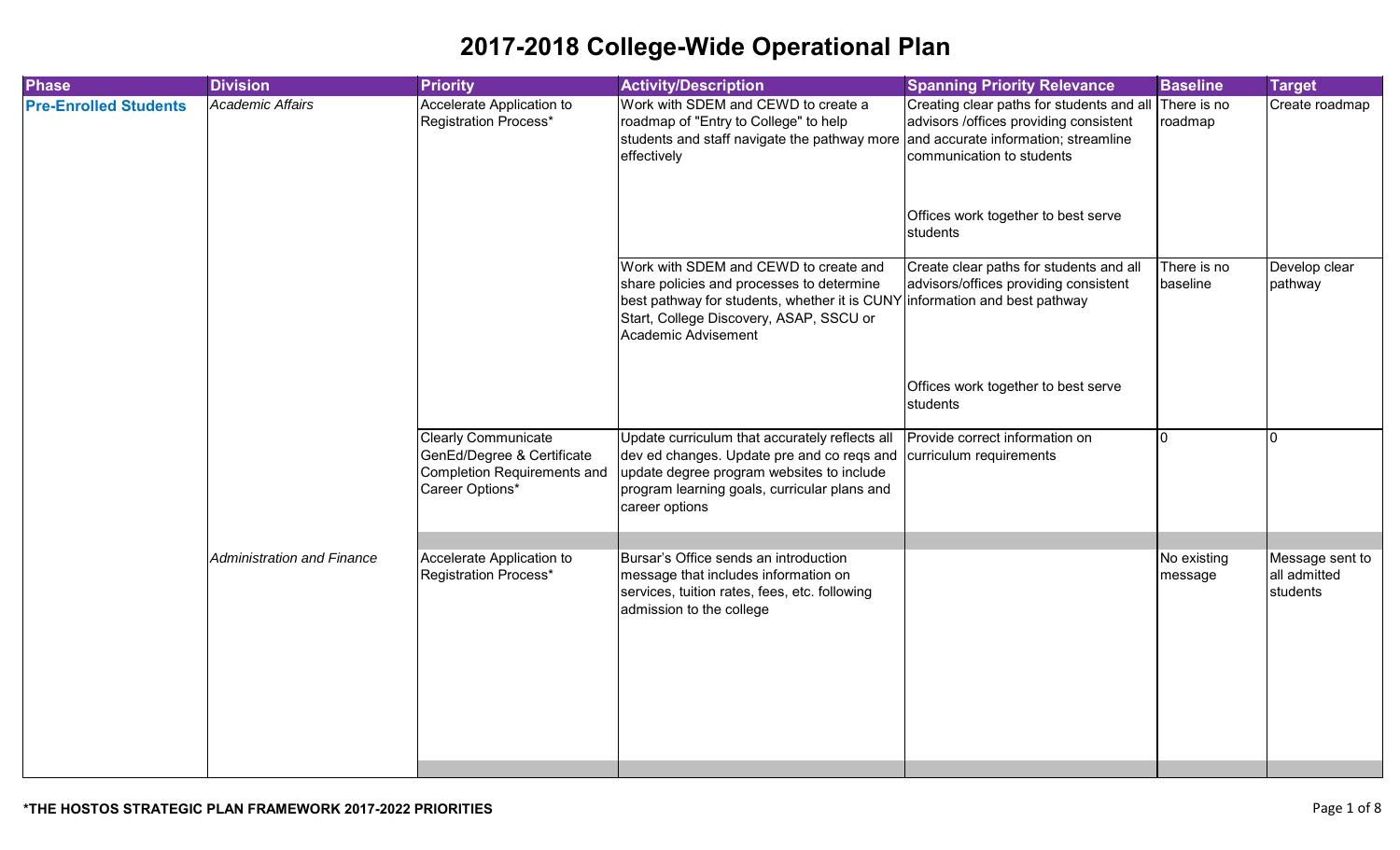| <b>Division</b>            | <b>Priority</b>                                                             | <b>Activity/Description</b>                                                                                                                                   | <b>Spanning Priority Relevance</b>                                                                                                  | <b>Baseline</b>                                                                                                                                                                                                                                                                                 | <b>Target</b>                                                                                          |
|----------------------------|-----------------------------------------------------------------------------|---------------------------------------------------------------------------------------------------------------------------------------------------------------|-------------------------------------------------------------------------------------------------------------------------------------|-------------------------------------------------------------------------------------------------------------------------------------------------------------------------------------------------------------------------------------------------------------------------------------------------|--------------------------------------------------------------------------------------------------------|
| <b>Academic Affairs</b>    | Accelerate Application to<br>Registration Process*                          | Work with SDEM and CEWD to create a<br>roadmap of "Entry to College" to help<br>effectively                                                                   |                                                                                                                                     |                                                                                                                                                                                                                                                                                                 | Create roadmap                                                                                         |
|                            |                                                                             |                                                                                                                                                               | Offices work together to best serve<br>students                                                                                     |                                                                                                                                                                                                                                                                                                 |                                                                                                        |
|                            |                                                                             | Work with SDEM and CEWD to create and<br>share policies and processes to determine<br>Start, College Discovery, ASAP, SSCU or<br>Academic Advisement          | Create clear paths for students and all                                                                                             | There is no                                                                                                                                                                                                                                                                                     | Develop clear<br>pathway                                                                               |
|                            |                                                                             |                                                                                                                                                               | Offices work together to best serve<br>students                                                                                     |                                                                                                                                                                                                                                                                                                 |                                                                                                        |
|                            | <b>Clearly Communicate</b><br>GenEd/Degree & Certificate<br>Career Options* | Update curriculum that accurately reflects all<br>update degree program websites to include<br>program learning goals, curricular plans and<br>career options |                                                                                                                                     | $\Omega$                                                                                                                                                                                                                                                                                        | I0.                                                                                                    |
| Administration and Finance | Accelerate Application to                                                   | message that includes information on<br>services, tuition rates, fees, etc. following<br>admission to the college                                             |                                                                                                                                     |                                                                                                                                                                                                                                                                                                 | Message sent to<br>all admitted<br>students                                                            |
|                            |                                                                             | Completion Requirements and<br>Registration Process*                                                                                                          | students and staff navigate the pathway more<br>dev ed changes. Update pre and co reqs and<br>Bursar's Office sends an introduction | advisors /offices providing consistent<br>and accurate information; streamline<br>communication to students<br>advisors/offices providing consistent<br>best pathway for students, whether it is CUNY information and best pathway<br>Provide correct information on<br>curriculum requirements | Creating clear paths for students and all There is no<br>roadmap<br>baseline<br>No existing<br>message |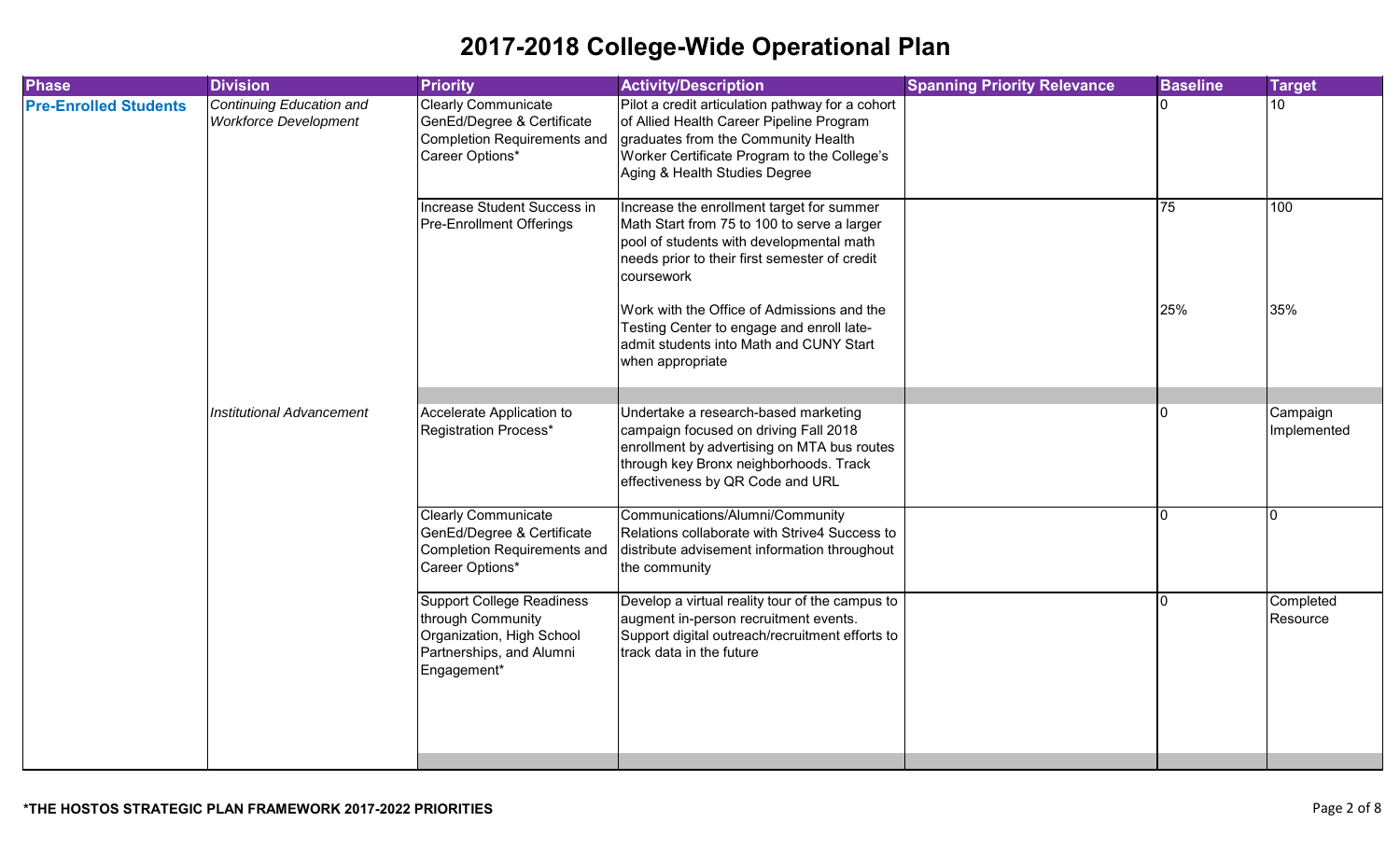| <b>Phase</b>                 | <b>Division</b>                                          | <b>Priority</b>                                                                                                               | <b>Activity/Description</b>                                                                                                                                                                                         | <b>Spanning Priority Relevance</b> | <b>Baseline</b> | <b>Target</b>           |
|------------------------------|----------------------------------------------------------|-------------------------------------------------------------------------------------------------------------------------------|---------------------------------------------------------------------------------------------------------------------------------------------------------------------------------------------------------------------|------------------------------------|-----------------|-------------------------|
| <b>Pre-Enrolled Students</b> | Continuing Education and<br><b>Workforce Development</b> | <b>Clearly Communicate</b><br>GenEd/Degree & Certificate<br>Completion Requirements and<br>Career Options*                    | Pilot a credit articulation pathway for a cohort<br>of Allied Health Career Pipeline Program<br>graduates from the Community Health<br>Worker Certificate Program to the College's<br>Aging & Health Studies Degree |                                    |                 | 10                      |
|                              |                                                          | Increase Student Success in<br>Pre-Enrollment Offerings                                                                       | Increase the enrollment target for summer<br>Math Start from 75 to 100 to serve a larger<br>pool of students with developmental math<br>needs prior to their first semester of credit<br>coursework                 |                                    | 75              | 100                     |
|                              |                                                          |                                                                                                                               | Work with the Office of Admissions and the<br>Testing Center to engage and enroll late-<br>admit students into Math and CUNY Start<br>when appropriate                                                              |                                    | 25%             | 35%                     |
|                              | <b>Institutional Advancement</b>                         | Accelerate Application to<br><b>Registration Process*</b>                                                                     | Undertake a research-based marketing<br>campaign focused on driving Fall 2018<br>enrollment by advertising on MTA bus routes<br>through key Bronx neighborhoods. Track<br>effectiveness by QR Code and URL          |                                    | ı٥              | Campaign<br>Implemented |
|                              |                                                          | <b>Clearly Communicate</b><br>GenEd/Degree & Certificate<br><b>Completion Requirements and</b><br>Career Options*             | Communications/Alumni/Community<br>Relations collaborate with Strive4 Success to<br>distribute advisement information throughout<br>the community                                                                   |                                    | l N             | n                       |
|                              |                                                          | <b>Support College Readiness</b><br>through Community<br>Organization, High School<br>Partnerships, and Alumni<br>Engagement* | Develop a virtual reality tour of the campus to<br>augment in-person recruitment events.<br>Support digital outreach/recruitment efforts to<br>track data in the future                                             |                                    | n               | Completed<br>Resource   |
|                              |                                                          |                                                                                                                               |                                                                                                                                                                                                                     |                                    |                 |                         |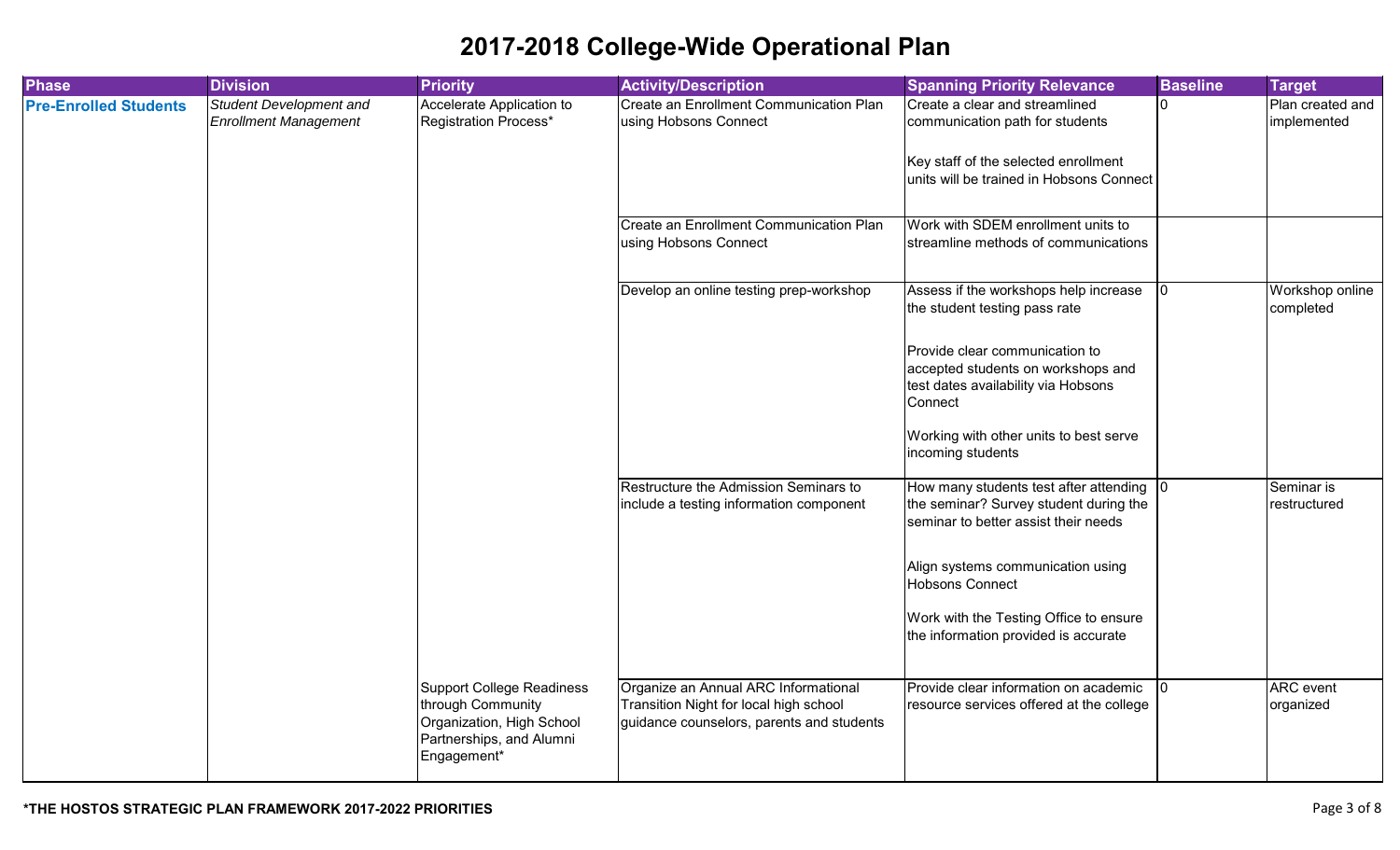| <b>Phase</b>                 | <b>Division</b>                                                | <b>Priority</b>                                                                                                               | <b>Activity/Description</b>                                                                                                 | <b>Spanning Priority Relevance</b>                                                                                         | <b>Baseline</b> | <b>Target</b>                   |
|------------------------------|----------------------------------------------------------------|-------------------------------------------------------------------------------------------------------------------------------|-----------------------------------------------------------------------------------------------------------------------------|----------------------------------------------------------------------------------------------------------------------------|-----------------|---------------------------------|
| <b>Pre-Enrolled Students</b> | <b>Student Development and</b><br><b>Enrollment Management</b> | Accelerate Application to<br><b>Registration Process*</b>                                                                     | Create an Enrollment Communication Plan<br>using Hobsons Connect                                                            | Create a clear and streamlined<br>communication path for students                                                          | 10              | Plan created and<br>implemented |
|                              |                                                                |                                                                                                                               |                                                                                                                             | Key staff of the selected enrollment<br>units will be trained in Hobsons Connect                                           |                 |                                 |
|                              |                                                                |                                                                                                                               | Create an Enrollment Communication Plan<br>using Hobsons Connect                                                            | Work with SDEM enrollment units to<br>streamline methods of communications                                                 |                 |                                 |
|                              |                                                                |                                                                                                                               | Develop an online testing prep-workshop                                                                                     | Assess if the workshops help increase<br>the student testing pass rate                                                     |                 | Workshop online<br>completed    |
|                              |                                                                |                                                                                                                               |                                                                                                                             | Provide clear communication to<br>accepted students on workshops and<br>test dates availability via Hobsons<br>Connect     |                 |                                 |
|                              |                                                                |                                                                                                                               |                                                                                                                             | Working with other units to best serve<br>incoming students                                                                |                 |                                 |
|                              |                                                                |                                                                                                                               | Restructure the Admission Seminars to<br>include a testing information component                                            | How many students test after attending 0<br>the seminar? Survey student during the<br>seminar to better assist their needs |                 | Seminar is<br>restructured      |
|                              |                                                                |                                                                                                                               |                                                                                                                             | Align systems communication using<br><b>Hobsons Connect</b>                                                                |                 |                                 |
|                              |                                                                |                                                                                                                               |                                                                                                                             | Work with the Testing Office to ensure<br>the information provided is accurate                                             |                 |                                 |
|                              |                                                                | <b>Support College Readiness</b><br>through Community<br>Organization, High School<br>Partnerships, and Alumni<br>Engagement* | Organize an Annual ARC Informational<br>Transition Night for local high school<br>guidance counselors, parents and students | Provide clear information on academic<br>resource services offered at the college                                          |                 | <b>ARC</b> event<br>organized   |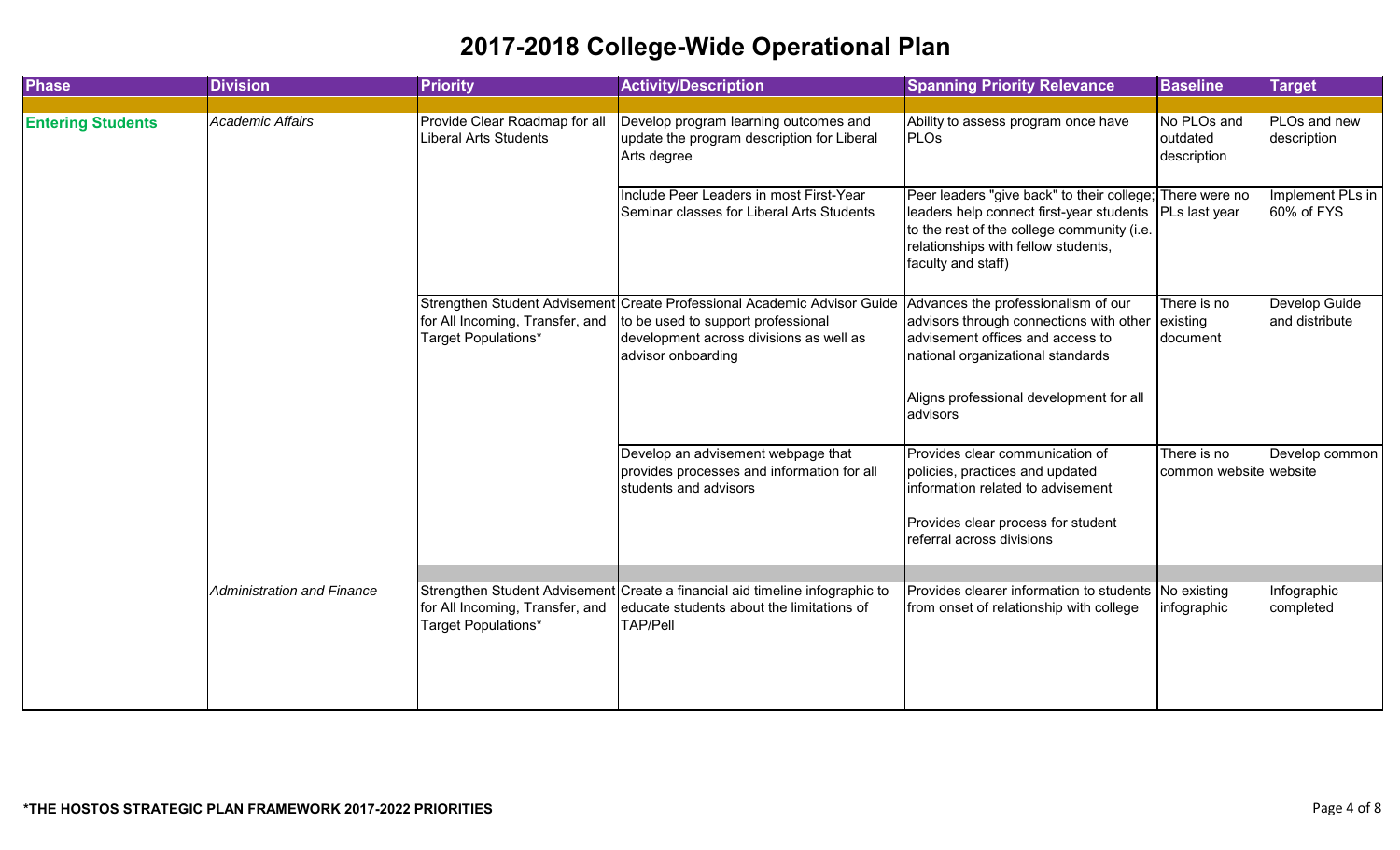| <b>Phase</b>             | <b>Division</b>            | <b>Priority</b>                                        | <b>Activity/Description</b>                                                                                                                                                     | <b>Spanning Priority Relevance</b>                                                                                                                                                                              | <b>Baseline</b>                        | <b>Target</b>                   |
|--------------------------|----------------------------|--------------------------------------------------------|---------------------------------------------------------------------------------------------------------------------------------------------------------------------------------|-----------------------------------------------------------------------------------------------------------------------------------------------------------------------------------------------------------------|----------------------------------------|---------------------------------|
|                          |                            |                                                        |                                                                                                                                                                                 |                                                                                                                                                                                                                 |                                        |                                 |
| <b>Entering Students</b> | <b>Academic Affairs</b>    | Provide Clear Roadmap for all<br>Liberal Arts Students | Develop program learning outcomes and<br>update the program description for Liberal<br>Arts degree                                                                              | Ability to assess program once have<br><b>PLOs</b>                                                                                                                                                              | No PLOs and<br>outdated<br>description | PLOs and new<br>description     |
|                          |                            |                                                        | Include Peer Leaders in most First-Year<br>Seminar classes for Liberal Arts Students                                                                                            | Peer leaders "give back" to their college; There were no<br>leaders help connect first-year students<br>to the rest of the college community (i.e.<br>relationships with fellow students,<br>faculty and staff) | PLs last year                          | Implement PLs in<br>60% of FYS  |
|                          |                            | for All Incoming, Transfer, and<br>Target Populations* | Strengthen Student Advisement Create Professional Academic Advisor Guide<br>to be used to support professional<br>development across divisions as well as<br>advisor onboarding | Advances the professionalism of our<br>advisors through connections with other<br>advisement offices and access to<br>national organizational standards<br>Aligns professional development for all              | There is no<br>existing<br>document    | Develop Guide<br>and distribute |
|                          |                            |                                                        |                                                                                                                                                                                 | advisors                                                                                                                                                                                                        |                                        |                                 |
|                          |                            |                                                        | Develop an advisement webpage that<br>provides processes and information for all<br>students and advisors                                                                       | Provides clear communication of<br>policies, practices and updated<br>information related to advisement                                                                                                         | There is no<br>common website website  | Develop common                  |
|                          |                            |                                                        |                                                                                                                                                                                 | Provides clear process for student<br>referral across divisions                                                                                                                                                 |                                        |                                 |
|                          | Administration and Finance | for All Incoming, Transfer, and<br>Target Populations* | Strengthen Student Advisement Create a financial aid timeline infographic to<br>educate students about the limitations of<br><b>TAP/Pell</b>                                    | Provides clearer information to students No existing<br>from onset of relationship with college                                                                                                                 | infographic                            | Infographic<br>completed        |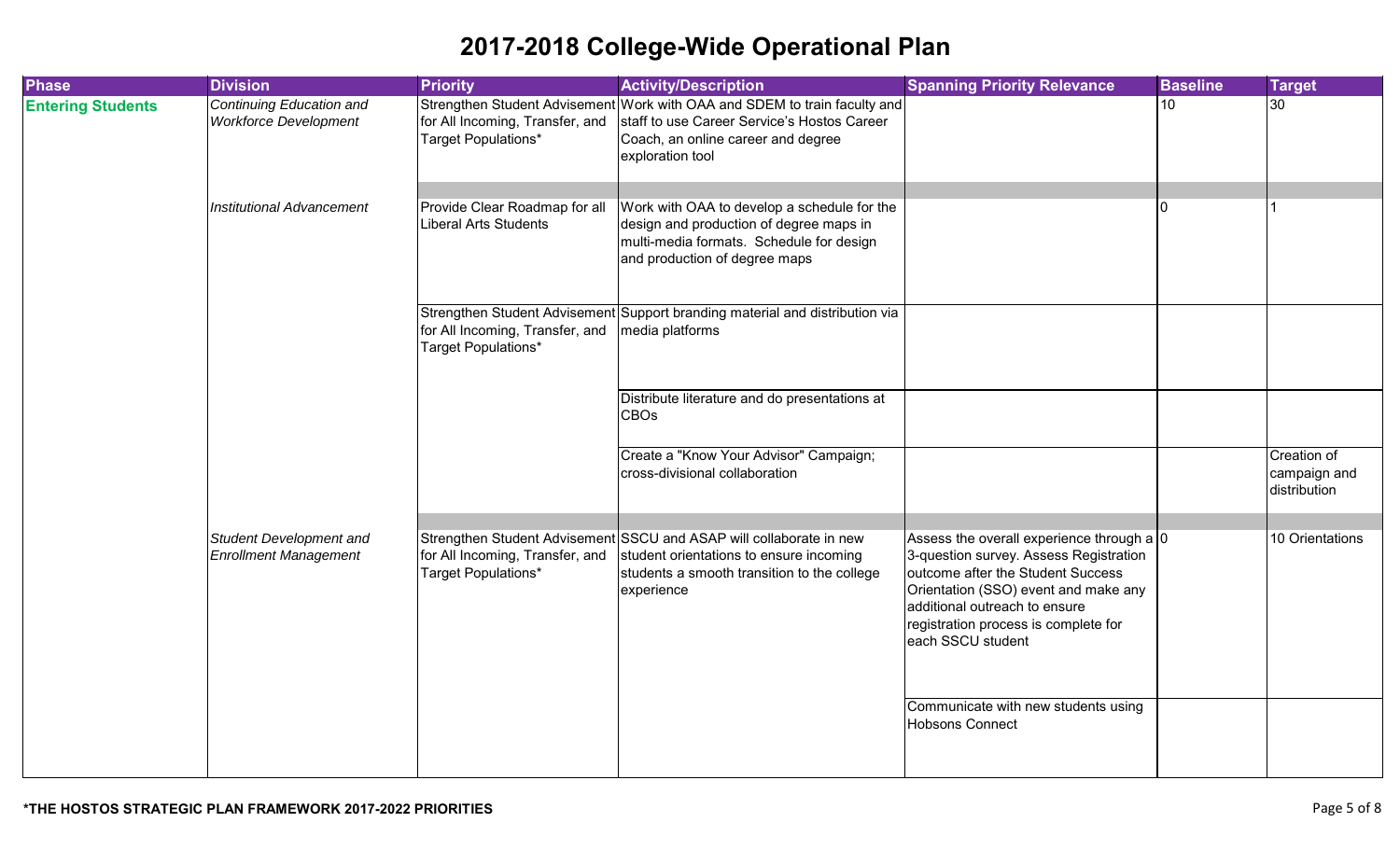| <b>Phase</b>             | <b>Division</b>                                          | <b>Priority</b>                                               | <b>Activity/Description</b>                                                                                                                                                        | <b>Spanning Priority Relevance</b>                                                                                                                                                                                                                             | <b>Baseline</b> | <b>Target</b>                               |
|--------------------------|----------------------------------------------------------|---------------------------------------------------------------|------------------------------------------------------------------------------------------------------------------------------------------------------------------------------------|----------------------------------------------------------------------------------------------------------------------------------------------------------------------------------------------------------------------------------------------------------------|-----------------|---------------------------------------------|
| <b>Entering Students</b> | Continuing Education and<br><b>Workforce Development</b> | for All Incoming, Transfer, and<br>Target Populations*        | Strengthen Student Advisement Work with OAA and SDEM to train faculty and<br>staff to use Career Service's Hostos Career<br>Coach, an online career and degree<br>exploration tool |                                                                                                                                                                                                                                                                | 10 <sup>°</sup> | $\overline{30}$                             |
|                          | <b>Institutional Advancement</b>                         | Provide Clear Roadmap for all<br><b>Liberal Arts Students</b> | Work with OAA to develop a schedule for the<br>design and production of degree maps in<br>multi-media formats. Schedule for design<br>and production of degree maps                |                                                                                                                                                                                                                                                                |                 |                                             |
|                          |                                                          | for All Incoming, Transfer, and<br>Target Populations*        | Strengthen Student Advisement Support branding material and distribution via<br>media platforms                                                                                    |                                                                                                                                                                                                                                                                |                 |                                             |
|                          |                                                          |                                                               | Distribute literature and do presentations at<br><b>CBOs</b>                                                                                                                       |                                                                                                                                                                                                                                                                |                 |                                             |
|                          |                                                          |                                                               | Create a "Know Your Advisor" Campaign;<br>cross-divisional collaboration                                                                                                           |                                                                                                                                                                                                                                                                |                 | Creation of<br>campaign and<br>distribution |
|                          |                                                          |                                                               |                                                                                                                                                                                    |                                                                                                                                                                                                                                                                |                 |                                             |
|                          | Student Development and<br><b>Enrollment Management</b>  | for All Incoming, Transfer, and<br>Target Populations*        | Strengthen Student Advisement SSCU and ASAP will collaborate in new<br>student orientations to ensure incoming<br>students a smooth transition to the college<br>experience        | Assess the overall experience through a 0<br>3-question survey. Assess Registration<br>outcome after the Student Success<br>Orientation (SSO) event and make any<br>additional outreach to ensure<br>registration process is complete for<br>each SSCU student |                 | 10 Orientations                             |
|                          |                                                          |                                                               |                                                                                                                                                                                    | Communicate with new students using<br>Hobsons Connect                                                                                                                                                                                                         |                 |                                             |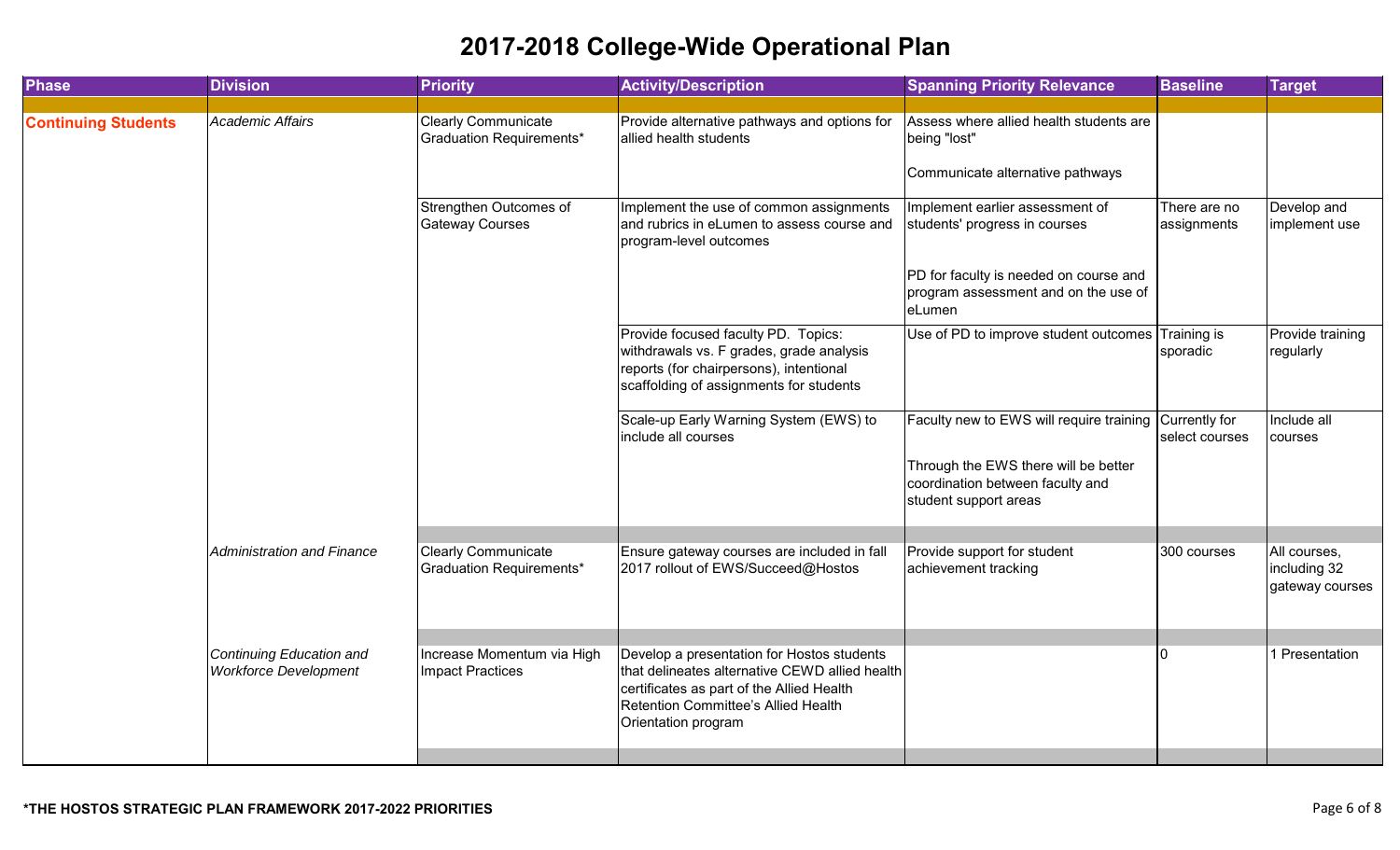| <b>Phase</b>               | <b>Division</b>                                          | <b>Priority</b>                                        | <b>Activity/Description</b>                                                                                                                                                                             | <b>Spanning Priority Relevance</b>                                                                                                                          | <b>Baseline</b>                | <b>Target</b>                                   |
|----------------------------|----------------------------------------------------------|--------------------------------------------------------|---------------------------------------------------------------------------------------------------------------------------------------------------------------------------------------------------------|-------------------------------------------------------------------------------------------------------------------------------------------------------------|--------------------------------|-------------------------------------------------|
| <b>Continuing Students</b> | Academic Affairs                                         | <b>Clearly Communicate</b><br>Graduation Requirements* | Provide alternative pathways and options for<br>allied health students                                                                                                                                  | Assess where allied health students are<br>being "lost"<br>Communicate alternative pathways                                                                 |                                |                                                 |
|                            |                                                          | Strengthen Outcomes of<br><b>Gateway Courses</b>       | Implement the use of common assignments<br>and rubrics in eLumen to assess course and<br>program-level outcomes                                                                                         | Implement earlier assessment of<br>students' progress in courses                                                                                            | There are no<br>assignments    | Develop and<br>implement use                    |
|                            |                                                          |                                                        |                                                                                                                                                                                                         | PD for faculty is needed on course and<br>program assessment and on the use of<br>eLumen                                                                    |                                |                                                 |
|                            |                                                          |                                                        | Provide focused faculty PD. Topics:<br>withdrawals vs. F grades, grade analysis<br>reports (for chairpersons), intentional<br>scaffolding of assignments for students                                   | Use of PD to improve student outcomes                                                                                                                       | <b>Training is</b><br>sporadic | Provide training<br>regularly                   |
|                            |                                                          |                                                        | Scale-up Early Warning System (EWS) to<br>include all courses                                                                                                                                           | Faculty new to EWS will require training Currently for<br>Through the EWS there will be better<br>coordination between faculty and<br>student support areas | select courses                 | Include all<br>courses                          |
|                            | <b>Administration and Finance</b>                        | <b>Clearly Communicate</b><br>Graduation Requirements* | Ensure gateway courses are included in fall<br>2017 rollout of EWS/Succeed@Hostos                                                                                                                       | Provide support for student<br>achievement tracking                                                                                                         | 300 courses                    | All courses,<br>including 32<br>gateway courses |
|                            | Continuing Education and<br><b>Workforce Development</b> | Increase Momentum via High<br><b>Impact Practices</b>  | Develop a presentation for Hostos students<br>that delineates alternative CEWD allied health<br>certificates as part of the Allied Health<br>Retention Committee's Allied Health<br>Orientation program |                                                                                                                                                             |                                | 1 Presentation                                  |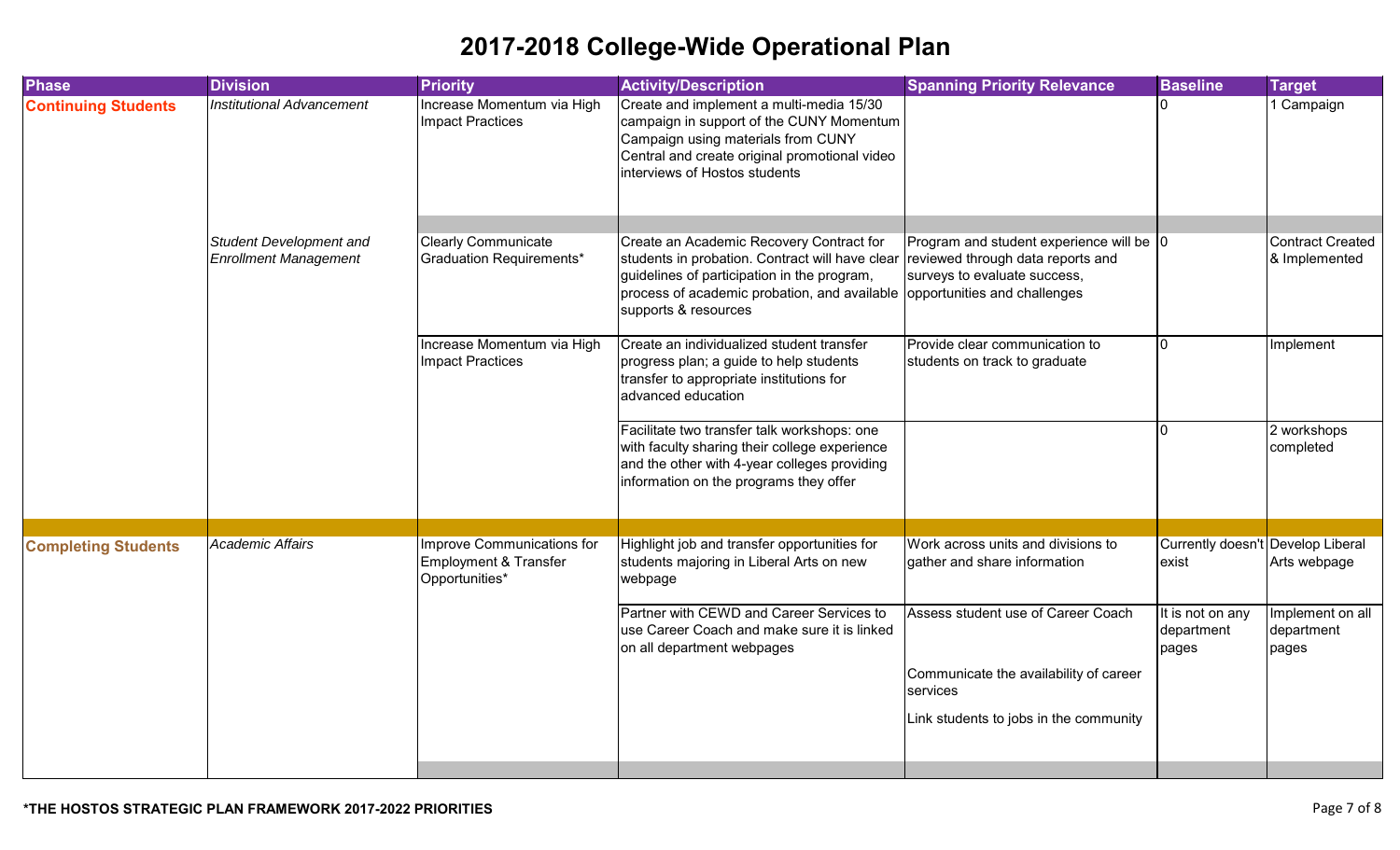| <b>Phase</b>               | <b>Division</b>                                         | <b>Priority</b>                                                              | <b>Activity/Description</b>                                                                                                                                                                                                                     | <b>Spanning Priority Relevance</b>                                                                            | <b>Baseline</b>                            | <b>Target</b>                            |
|----------------------------|---------------------------------------------------------|------------------------------------------------------------------------------|-------------------------------------------------------------------------------------------------------------------------------------------------------------------------------------------------------------------------------------------------|---------------------------------------------------------------------------------------------------------------|--------------------------------------------|------------------------------------------|
| <b>Continuing Students</b> | <b>Institutional Advancement</b>                        | Increase Momentum via High<br><b>Impact Practices</b>                        | Create and implement a multi-media 15/30<br>campaign in support of the CUNY Momentum<br>Campaign using materials from CUNY<br>Central and create original promotional video<br>interviews of Hostos students                                    |                                                                                                               |                                            | 1 Campaign                               |
|                            |                                                         |                                                                              |                                                                                                                                                                                                                                                 |                                                                                                               |                                            |                                          |
|                            | Student Development and<br><b>Enrollment Management</b> | <b>Clearly Communicate</b><br>Graduation Requirements*                       | Create an Academic Recovery Contract for<br>students in probation. Contract will have clear<br>guidelines of participation in the program,<br>process of academic probation, and available opportunities and challenges<br>supports & resources | Program and student experience will be 0<br>reviewed through data reports and<br>surveys to evaluate success, |                                            | <b>Contract Created</b><br>& Implemented |
|                            |                                                         | Increase Momentum via High<br><b>Impact Practices</b>                        | Create an individualized student transfer<br>progress plan; a guide to help students<br>transfer to appropriate institutions for<br>advanced education                                                                                          | Provide clear communication to<br>students on track to graduate                                               | <sup>n</sup>                               | Implement                                |
|                            |                                                         |                                                                              | Facilitate two transfer talk workshops: one<br>with faculty sharing their college experience<br>and the other with 4-year colleges providing<br>information on the programs they offer                                                          |                                                                                                               |                                            | 2 workshops<br>completed                 |
|                            |                                                         |                                                                              |                                                                                                                                                                                                                                                 |                                                                                                               |                                            |                                          |
| <b>Completing Students</b> | <b>Academic Affairs</b>                                 | <b>Improve Communications for</b><br>Employment & Transfer<br>Opportunities* | Highlight job and transfer opportunities for<br>students majoring in Liberal Arts on new<br>webpage                                                                                                                                             | Work across units and divisions to<br>gather and share information                                            | Currently doesn't Develop Liberal<br>exist | Arts webpage                             |
|                            |                                                         |                                                                              | Partner with CEWD and Career Services to<br>use Career Coach and make sure it is linked<br>on all department webpages                                                                                                                           | Assess student use of Career Coach                                                                            | It is not on any<br>department<br>pages    | Implement on all<br>department<br>pages  |
|                            |                                                         |                                                                              |                                                                                                                                                                                                                                                 | Communicate the availability of career<br>services                                                            |                                            |                                          |
|                            |                                                         |                                                                              |                                                                                                                                                                                                                                                 | Link students to jobs in the community                                                                        |                                            |                                          |